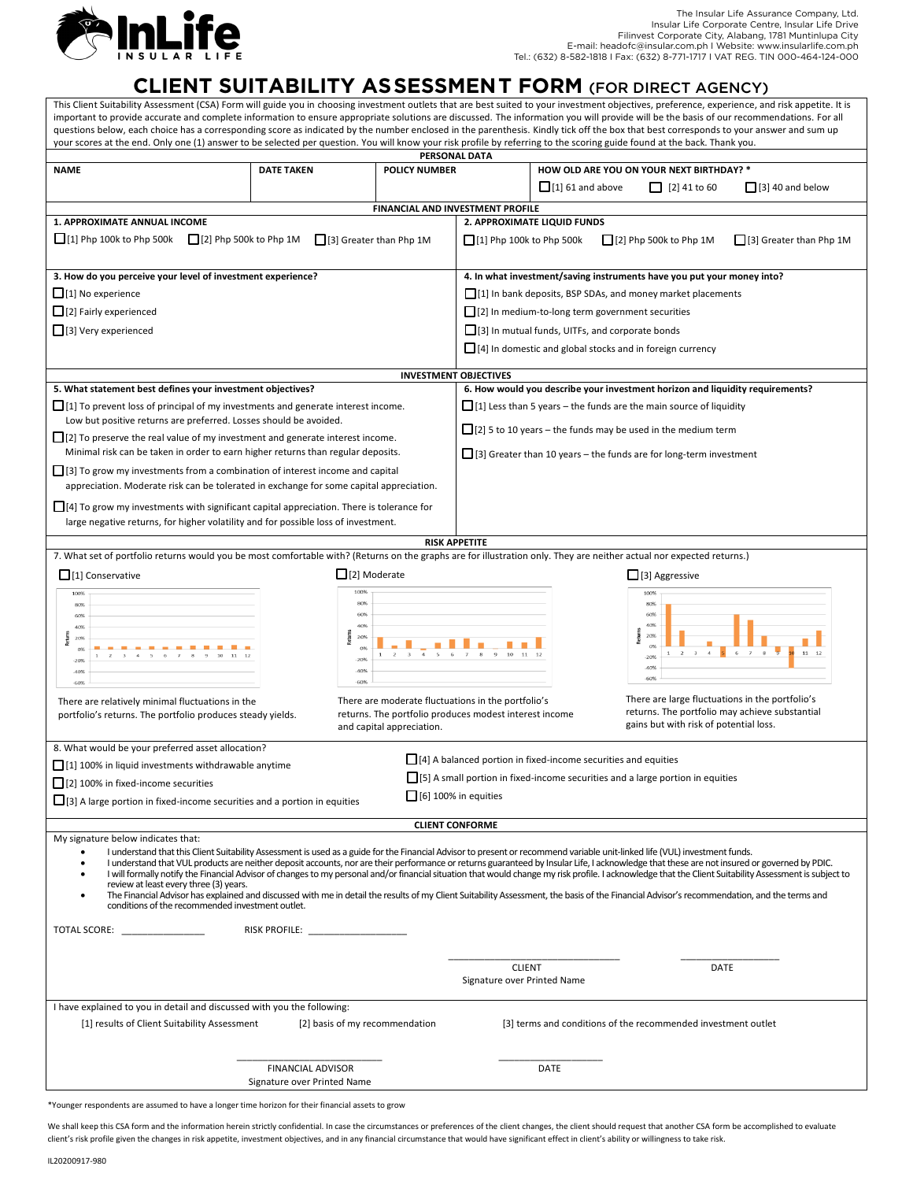

## **CLIENT SUITABILITY ASSESSMENT FORM** (FOR DIRECT AGENCY)

This Client Suitability Assessment (CSA) Form will guide you in choosing investment outlets that are best suited to your investment objectives, preference, experience, and risk appetite. It is important to provide accurate and complete information to ensure appropriate solutions are discussed. The information you will provide will be the basis of our recommendations. For all questions below, each choice has a corresponding score as indicated by the number enclosed in the parenthesis. Kindly tick off the box that best corresponds to your answer and sum up your scores at the end. Only one (1) answer to be selected per question. You will know your risk profile by referring to the scoring guide found at the back. Thank you.

| PERSONAL DATA                                                                                                                                                                                                                                     |                                           |                                                        |                                                                  |                                                                                       |  |  |  |
|---------------------------------------------------------------------------------------------------------------------------------------------------------------------------------------------------------------------------------------------------|-------------------------------------------|--------------------------------------------------------|------------------------------------------------------------------|---------------------------------------------------------------------------------------|--|--|--|
| <b>NAME</b>                                                                                                                                                                                                                                       | <b>POLICY NUMBER</b><br><b>DATE TAKEN</b> |                                                        |                                                                  | HOW OLD ARE YOU ON YOUR NEXT BIRTHDAY? *                                              |  |  |  |
|                                                                                                                                                                                                                                                   |                                           |                                                        |                                                                  | $\Box$ [1] 61 and above<br>$\Box$ [2] 41 to 60<br>$\Box$ [3] 40 and below             |  |  |  |
|                                                                                                                                                                                                                                                   |                                           |                                                        |                                                                  |                                                                                       |  |  |  |
|                                                                                                                                                                                                                                                   |                                           | FINANCIAL AND INVESTMENT PROFILE                       |                                                                  |                                                                                       |  |  |  |
| 1. APPROXIMATE ANNUAL INCOME                                                                                                                                                                                                                      | 2. APPROXIMATE LIQUID FUNDS               |                                                        |                                                                  |                                                                                       |  |  |  |
| $\Box$ [1] Php 100k to Php 500k $\Box$ [2] Php 500k to Php 1M                                                                                                                                                                                     |                                           | [3] Greater than Php 1M                                | $\Box$ [1] Php 100k to Php 500k                                  | $\Box$ [2] Php 500k to Php 1M<br>[3] Greater than Php 1M                              |  |  |  |
|                                                                                                                                                                                                                                                   |                                           |                                                        |                                                                  |                                                                                       |  |  |  |
| 3. How do you perceive your level of investment experience?                                                                                                                                                                                       |                                           |                                                        |                                                                  | 4. In what investment/saving instruments have you put your money into?                |  |  |  |
|                                                                                                                                                                                                                                                   |                                           |                                                        |                                                                  |                                                                                       |  |  |  |
| $\Box$ [1] No experience                                                                                                                                                                                                                          |                                           |                                                        |                                                                  | [1] In bank deposits, BSP SDAs, and money market placements                           |  |  |  |
| $\Box$ [2] Fairly experienced                                                                                                                                                                                                                     |                                           |                                                        | [2] In medium-to-long term government securities                 |                                                                                       |  |  |  |
| $\Box$ [3] Very experienced                                                                                                                                                                                                                       |                                           |                                                        | $\Box$ [3] In mutual funds, UITFs, and corporate bonds           |                                                                                       |  |  |  |
|                                                                                                                                                                                                                                                   |                                           |                                                        | $\Box$ [4] In domestic and global stocks and in foreign currency |                                                                                       |  |  |  |
|                                                                                                                                                                                                                                                   |                                           |                                                        |                                                                  |                                                                                       |  |  |  |
| <b>INVESTMENT OBJECTIVES</b>                                                                                                                                                                                                                      |                                           |                                                        |                                                                  |                                                                                       |  |  |  |
| 5. What statement best defines your investment objectives?                                                                                                                                                                                        |                                           |                                                        |                                                                  | 6. How would you describe your investment horizon and liquidity requirements?         |  |  |  |
| $\Box$ [1] To prevent loss of principal of my investments and generate interest income.                                                                                                                                                           |                                           |                                                        |                                                                  | $\Box$ [1] Less than 5 years – the funds are the main source of liquidity             |  |  |  |
| Low but positive returns are preferred. Losses should be avoided.                                                                                                                                                                                 |                                           |                                                        |                                                                  |                                                                                       |  |  |  |
| $\Box$ [2] To preserve the real value of my investment and generate interest income.                                                                                                                                                              |                                           |                                                        |                                                                  | $\Box$ [2] 5 to 10 years – the funds may be used in the medium term                   |  |  |  |
| Minimal risk can be taken in order to earn higher returns than regular deposits.                                                                                                                                                                  |                                           |                                                        |                                                                  | $\Box$ [3] Greater than 10 years – the funds are for long-term investment             |  |  |  |
|                                                                                                                                                                                                                                                   |                                           |                                                        |                                                                  |                                                                                       |  |  |  |
| $\Box$ [3] To grow my investments from a combination of interest income and capital                                                                                                                                                               |                                           |                                                        |                                                                  |                                                                                       |  |  |  |
| appreciation. Moderate risk can be tolerated in exchange for some capital appreciation.                                                                                                                                                           |                                           |                                                        |                                                                  |                                                                                       |  |  |  |
| $\Box$ [4] To grow my investments with significant capital appreciation. There is tolerance for                                                                                                                                                   |                                           |                                                        |                                                                  |                                                                                       |  |  |  |
| large negative returns, for higher volatility and for possible loss of investment.                                                                                                                                                                |                                           |                                                        |                                                                  |                                                                                       |  |  |  |
|                                                                                                                                                                                                                                                   |                                           |                                                        |                                                                  |                                                                                       |  |  |  |
| <b>RISK APPETITE</b><br>7. What set of portfolio returns would you be most comfortable with? (Returns on the graphs are for illustration only. They are neither actual nor expected returns.)                                                     |                                           |                                                        |                                                                  |                                                                                       |  |  |  |
|                                                                                                                                                                                                                                                   |                                           |                                                        |                                                                  |                                                                                       |  |  |  |
| $\Box$ [1] Conservative                                                                                                                                                                                                                           |                                           | $\Box$ [2] Moderate                                    |                                                                  | $\Box$ [3] Aggressive                                                                 |  |  |  |
| 100%                                                                                                                                                                                                                                              |                                           | 100%<br>80%                                            |                                                                  | 100%<br>80%                                                                           |  |  |  |
| 80%<br>60%                                                                                                                                                                                                                                        |                                           | 60%                                                    |                                                                  | 60%                                                                                   |  |  |  |
| 40%                                                                                                                                                                                                                                               |                                           | 40%                                                    |                                                                  | 409                                                                                   |  |  |  |
| 209                                                                                                                                                                                                                                               |                                           | 20%                                                    |                                                                  | 209                                                                                   |  |  |  |
| O <sub>2</sub><br>$\sim$<br>$\Lambda$<br>$-209$                                                                                                                                                                                                   |                                           | O <sub>2</sub><br>$-20%$                               |                                                                  | $11 - 12$<br>$-203$                                                                   |  |  |  |
| -40%                                                                                                                                                                                                                                              |                                           | $-40%$                                                 |                                                                  | 40%<br>60%                                                                            |  |  |  |
| 60%                                                                                                                                                                                                                                               |                                           | -60%                                                   |                                                                  |                                                                                       |  |  |  |
| There are relatively minimal fluctuations in the                                                                                                                                                                                                  |                                           | There are moderate fluctuations in the portfolio's     |                                                                  | There are large fluctuations in the portfolio's                                       |  |  |  |
| portfolio's returns. The portfolio produces steady yields.                                                                                                                                                                                        |                                           | returns. The portfolio produces modest interest income |                                                                  | returns. The portfolio may achieve substantial                                        |  |  |  |
| gains but with risk of potential loss.<br>and capital appreciation.                                                                                                                                                                               |                                           |                                                        |                                                                  |                                                                                       |  |  |  |
| 8. What would be your preferred asset allocation?                                                                                                                                                                                                 |                                           |                                                        |                                                                  |                                                                                       |  |  |  |
| [1] 100% in liquid investments withdrawable anytime                                                                                                                                                                                               |                                           |                                                        |                                                                  | $\Box$ [4] A balanced portion in fixed-income securities and equities                 |  |  |  |
|                                                                                                                                                                                                                                                   |                                           |                                                        |                                                                  | $\Box$ [5] A small portion in fixed-income securities and a large portion in equities |  |  |  |
| [2] 100% in fixed-income securities                                                                                                                                                                                                               |                                           |                                                        |                                                                  |                                                                                       |  |  |  |
| $[6]$ 100% in equities<br>$\Box$ [3] A large portion in fixed-income securities and a portion in equities                                                                                                                                         |                                           |                                                        |                                                                  |                                                                                       |  |  |  |
|                                                                                                                                                                                                                                                   |                                           |                                                        | <b>CLIENT CONFORME</b>                                           |                                                                                       |  |  |  |
| My signature below indicates that:                                                                                                                                                                                                                |                                           |                                                        |                                                                  |                                                                                       |  |  |  |
| I understand that this Client Suitability Assessment is used as a guide for the Financial Advisor to present or recommend variable unit-linked life (VUL) investment funds.                                                                       |                                           |                                                        |                                                                  |                                                                                       |  |  |  |
| I understand that VUL products are neither deposit accounts, nor are their performance or returns guaranteed by Insular Life. I acknowledge that these are not insured or governed by PDIC.                                                       |                                           |                                                        |                                                                  |                                                                                       |  |  |  |
| I will formally notify the Financial Advisor of changes to my personal and/or financial situation that would change my risk profile. I acknowledge that the Client Suitability Assessment is subject to<br>review at least every three (3) years. |                                           |                                                        |                                                                  |                                                                                       |  |  |  |
| The Financial Advisor has explained and discussed with me in detail the results of my Client Suitability Assessment, the basis of the Financial Advisor's recommendation, and the terms and                                                       |                                           |                                                        |                                                                  |                                                                                       |  |  |  |
| conditions of the recommended investment outlet.                                                                                                                                                                                                  |                                           |                                                        |                                                                  |                                                                                       |  |  |  |
| TOTAL SCORE: ________________                                                                                                                                                                                                                     |                                           |                                                        |                                                                  |                                                                                       |  |  |  |
|                                                                                                                                                                                                                                                   |                                           |                                                        |                                                                  |                                                                                       |  |  |  |
|                                                                                                                                                                                                                                                   |                                           |                                                        |                                                                  |                                                                                       |  |  |  |
|                                                                                                                                                                                                                                                   |                                           |                                                        | <b>CLIENT</b>                                                    | DATE                                                                                  |  |  |  |
| Signature over Printed Name                                                                                                                                                                                                                       |                                           |                                                        |                                                                  |                                                                                       |  |  |  |
|                                                                                                                                                                                                                                                   |                                           |                                                        |                                                                  |                                                                                       |  |  |  |
| I have explained to you in detail and discussed with you the following:                                                                                                                                                                           |                                           |                                                        |                                                                  |                                                                                       |  |  |  |
| [1] results of Client Suitability Assessment<br>[2] basis of my recommendation<br>[3] terms and conditions of the recommended investment outlet                                                                                                   |                                           |                                                        |                                                                  |                                                                                       |  |  |  |
|                                                                                                                                                                                                                                                   |                                           |                                                        |                                                                  |                                                                                       |  |  |  |
|                                                                                                                                                                                                                                                   |                                           |                                                        |                                                                  |                                                                                       |  |  |  |
| <b>FINANCIAL ADVISOR</b><br>DATE<br>Signature over Printed Name                                                                                                                                                                                   |                                           |                                                        |                                                                  |                                                                                       |  |  |  |
|                                                                                                                                                                                                                                                   |                                           |                                                        |                                                                  |                                                                                       |  |  |  |

\*Younger respondents are assumed to have a longer time horizon for their financial assets to grow

We shall keep this CSA form and the information herein strictly confidential. In case the circumstances or preferences of the client changes, the client should request that another CSA form be accomplished to evaluate client's risk profile given the changes in risk appetite, investment objectives, and in any financial circumstance that would have significant effect in client's ability or willingness to take risk.